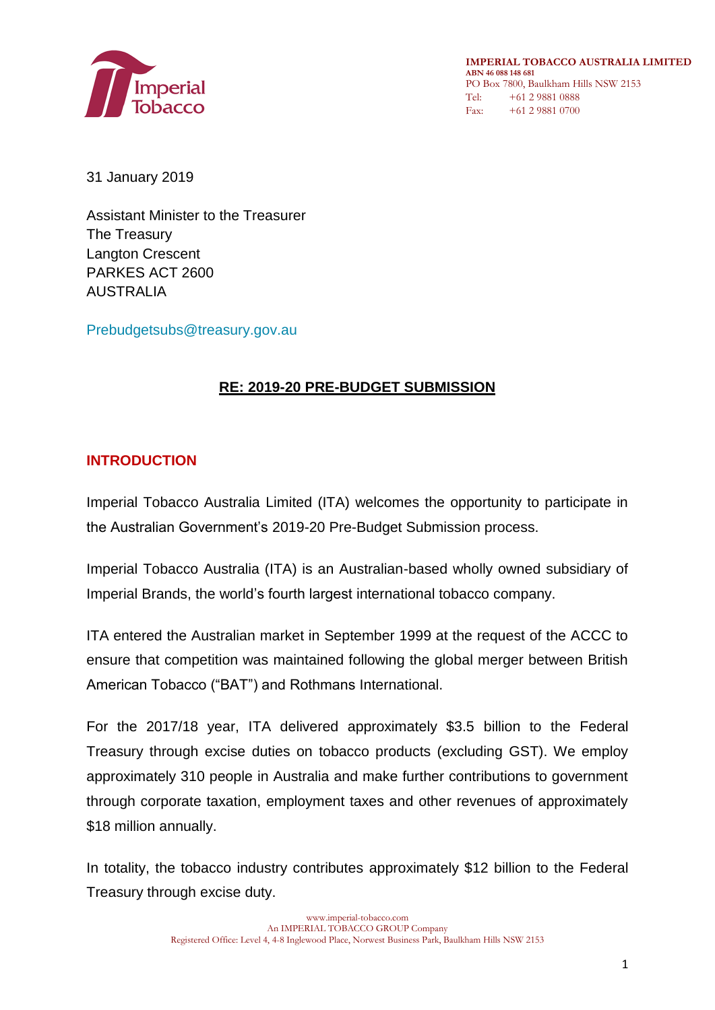

**IMPERIAL TOBACCO AUSTRALIA LIMITED ABN 46 088 148 681** PO Box 7800, Baulkham Hills NSW 2153 Tel: +61 2 9881 0888 Fax: +61 2 9881 0700

31 January 2019

Assistant Minister to the Treasurer The Treasury Langton Crescent PARKES ACT 2600 AUSTRALIA

[Prebudgetsubs@treasury.gov.au](mailto:Prebudgetsubs@treasury.gov.au)

# **RE: 2019-20 PRE-BUDGET SUBMISSION**

## **INTRODUCTION**

Imperial Tobacco Australia Limited (ITA) welcomes the opportunity to participate in the Australian Government's 2019-20 Pre-Budget Submission process.

Imperial Tobacco Australia (ITA) is an Australian-based wholly owned subsidiary of Imperial Brands, the world's fourth largest international tobacco company.

ITA entered the Australian market in September 1999 at the request of the ACCC to ensure that competition was maintained following the global merger between British American Tobacco ("BAT") and Rothmans International.

For the 2017/18 year, ITA delivered approximately \$3.5 billion to the Federal Treasury through excise duties on tobacco products (excluding GST). We employ approximately 310 people in Australia and make further contributions to government through corporate taxation, employment taxes and other revenues of approximately \$18 million annually.

In totality, the tobacco industry contributes approximately \$12 billion to the Federal Treasury through excise duty.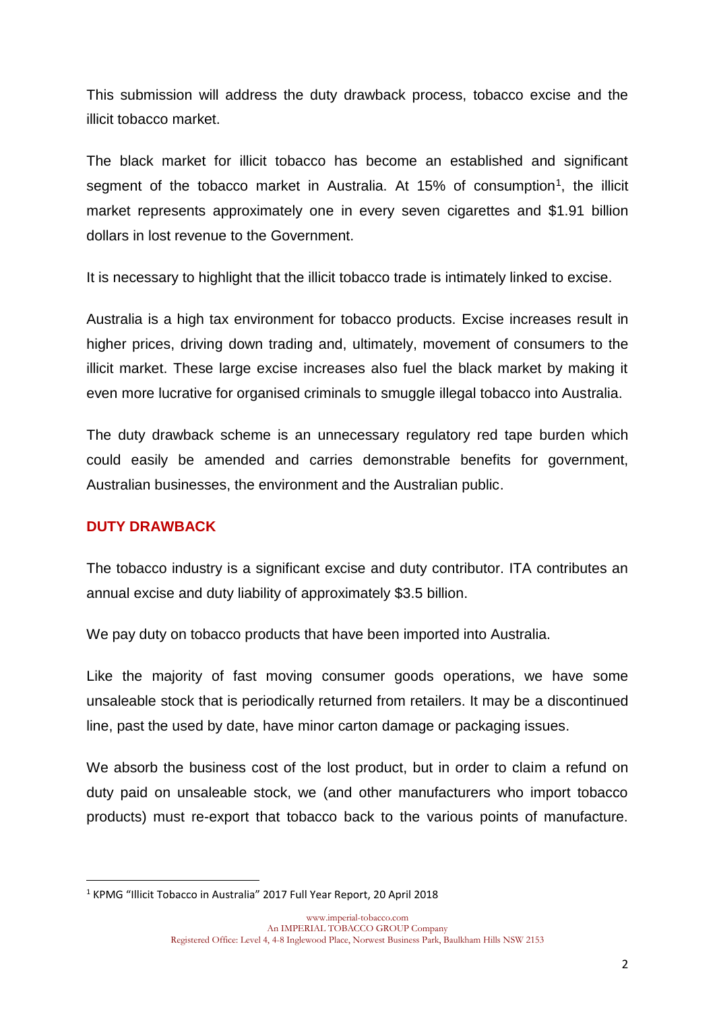This submission will address the duty drawback process, tobacco excise and the illicit tobacco market.

The black market for illicit tobacco has become an established and significant segment of the tobacco market in Australia. At 15% of consumption<sup>1</sup>, the illicit market represents approximately one in every seven cigarettes and \$1.91 billion dollars in lost revenue to the Government.

It is necessary to highlight that the illicit tobacco trade is intimately linked to excise.

Australia is a high tax environment for tobacco products. Excise increases result in higher prices, driving down trading and, ultimately, movement of consumers to the illicit market. These large excise increases also fuel the black market by making it even more lucrative for organised criminals to smuggle illegal tobacco into Australia.

The duty drawback scheme is an unnecessary regulatory red tape burden which could easily be amended and carries demonstrable benefits for government, Australian businesses, the environment and the Australian public.

#### **DUTY DRAWBACK**

**.** 

The tobacco industry is a significant excise and duty contributor. ITA contributes an annual excise and duty liability of approximately \$3.5 billion.

We pay duty on tobacco products that have been imported into Australia.

Like the majority of fast moving consumer goods operations, we have some unsaleable stock that is periodically returned from retailers. It may be a discontinued line, past the used by date, have minor carton damage or packaging issues.

We absorb the business cost of the lost product, but in order to claim a refund on duty paid on unsaleable stock, we (and other manufacturers who import tobacco products) must re-export that tobacco back to the various points of manufacture.

<sup>1</sup> KPMG "Illicit Tobacco in Australia" 2017 Full Year Report, 20 April 2018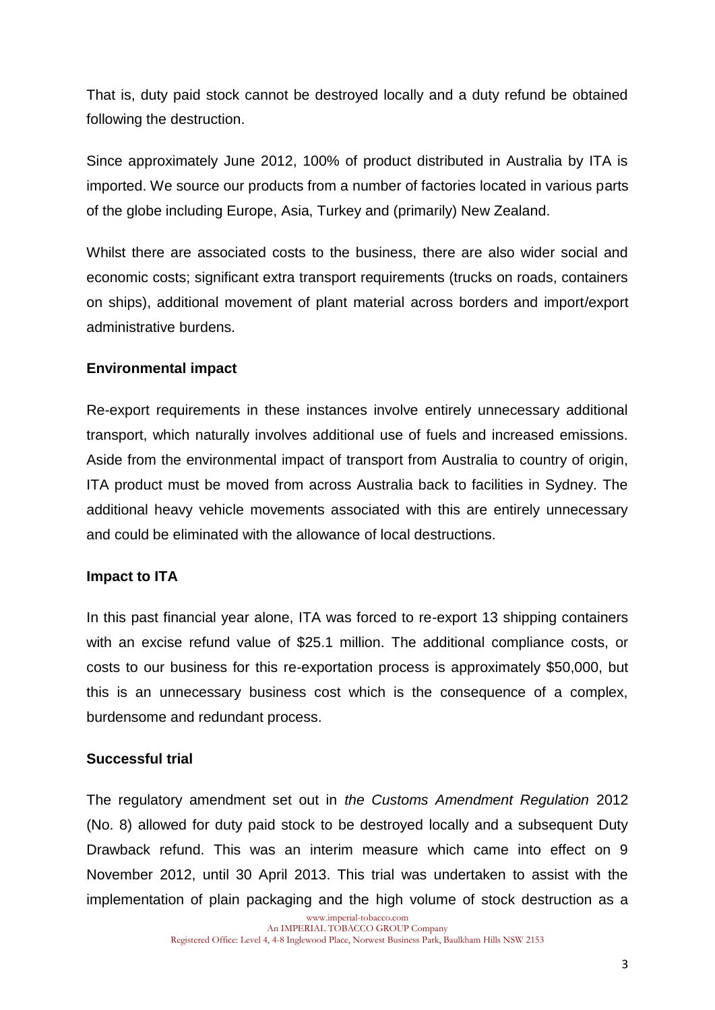That is, duty paid stock cannot be destroyed locally and a duty refund be obtained following the destruction.

Since approximately June 2012, 100% of product distributed in Australia by ITA is imported. We source our products from a number of factories located in various parts of the globe including Europe, Asia, Turkey and (primarily) New Zealand.

Whilst there are associated costs to the business, there are also wider social and economic costs; significant extra transport requirements (trucks on roads, containers on ships), additional movement of plant material across borders and import/export administrative burdens.

## **Environmental impact**

Re-export requirements in these instances involve entirely unnecessary additional transport, which naturally involves additional use of fuels and increased emissions. Aside from the environmental impact of transport from Australia to country of origin, ITA product must be moved from across Australia back to facilities in Sydney. The additional heavy vehicle movements associated with this are entirely unnecessary and could be eliminated with the allowance of local destructions.

## **Impact to ITA**

In this past financial year alone, ITA was forced to re-export 13 shipping containers with an excise refund value of \$25.1 million. The additional compliance costs, or costs to our business for this re-exportation process is approximately \$50,000, but this is an unnecessary business cost which is the consequence of a complex, burdensome and redundant process.

## **Successful trial**

The regulatory amendment set out in *the Customs Amendment Regulation* 2012 (No. 8) allowed for duty paid stock to be destroyed locally and a subsequent Duty Drawback refund. This was an interim measure which came into effect on 9 November 2012, until 30 April 2013. This trial was undertaken to assist with the implementation of plain packaging and the high volume of stock destruction as a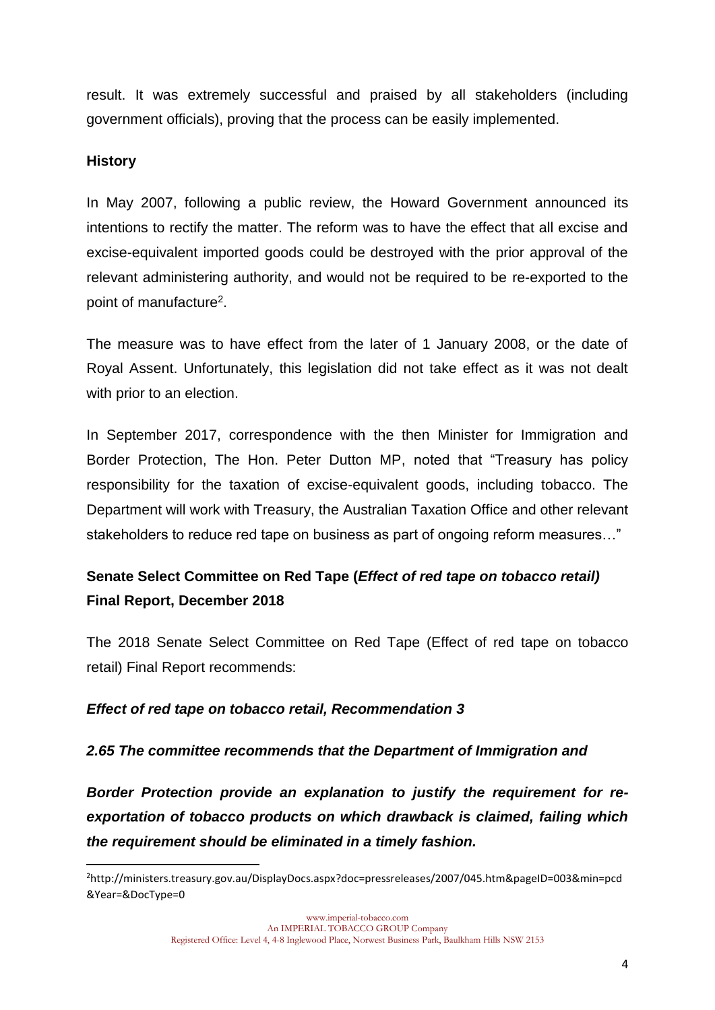result. It was extremely successful and praised by all stakeholders (including government officials), proving that the process can be easily implemented.

## **History**

 $\overline{a}$ 

In May 2007, following a public review, the Howard Government announced its intentions to rectify the matter. The reform was to have the effect that all excise and excise-equivalent imported goods could be destroyed with the prior approval of the relevant administering authority, and would not be required to be re-exported to the point of manufacture<sup>2</sup>.

The measure was to have effect from the later of 1 January 2008, or the date of Royal Assent. Unfortunately, this legislation did not take effect as it was not dealt with prior to an election.

In September 2017, correspondence with the then Minister for Immigration and Border Protection, The Hon. Peter Dutton MP, noted that "Treasury has policy responsibility for the taxation of excise-equivalent goods, including tobacco. The Department will work with Treasury, the Australian Taxation Office and other relevant stakeholders to reduce red tape on business as part of ongoing reform measures…"

# **Senate Select Committee on Red Tape (***Effect of red tape on tobacco retail)*  **Final Report, December 2018**

The 2018 Senate Select Committee on Red Tape (Effect of red tape on tobacco retail) Final Report recommends:

## *Effect of red tape on tobacco retail, Recommendation 3*

## *2.65 The committee recommends that the Department of Immigration and*

*Border Protection provide an explanation to justify the requirement for reexportation of tobacco products on which drawback is claimed, failing which the requirement should be eliminated in a timely fashion.*

<sup>2</sup>http://ministers.treasury.gov.au/DisplayDocs.aspx?doc=pressreleases/2007/045.htm&pageID=003&min=pcd &Year=&DocType=0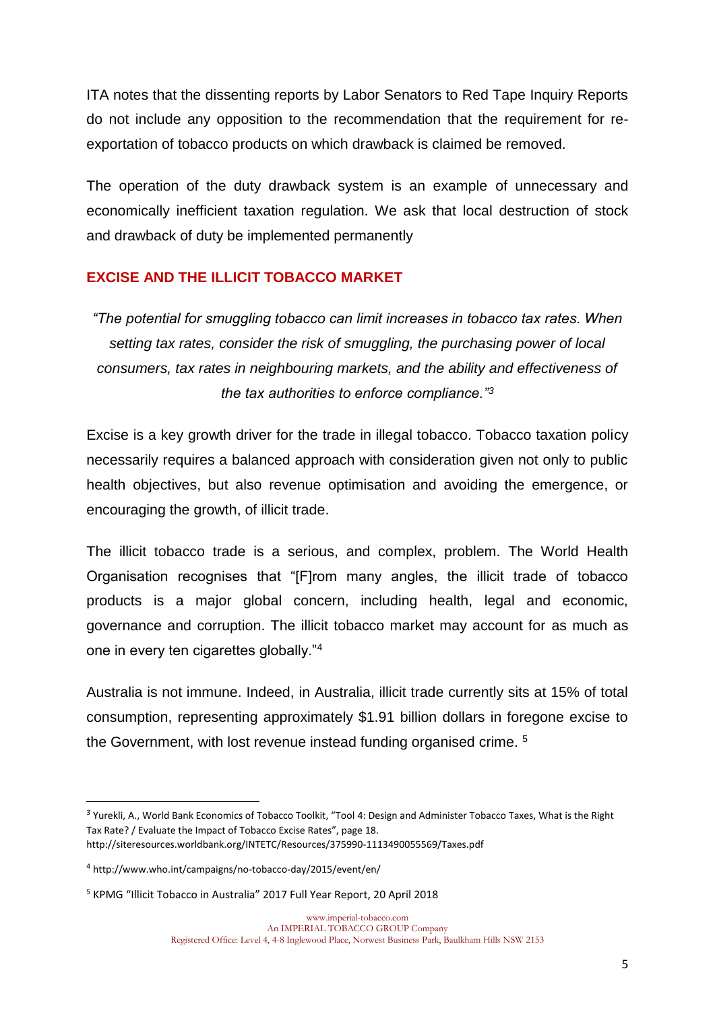ITA notes that the dissenting reports by Labor Senators to Red Tape Inquiry Reports do not include any opposition to the recommendation that the requirement for reexportation of tobacco products on which drawback is claimed be removed.

The operation of the duty drawback system is an example of unnecessary and economically inefficient taxation regulation. We ask that local destruction of stock and drawback of duty be implemented permanently

## **EXCISE AND THE ILLICIT TOBACCO MARKET**

*"The potential for smuggling tobacco can limit increases in tobacco tax rates. When setting tax rates, consider the risk of smuggling, the purchasing power of local consumers, tax rates in neighbouring markets, and the ability and effectiveness of the tax authorities to enforce compliance."<sup>3</sup>*

Excise is a key growth driver for the trade in illegal tobacco. Tobacco taxation policy necessarily requires a balanced approach with consideration given not only to public health objectives, but also revenue optimisation and avoiding the emergence, or encouraging the growth, of illicit trade.

The illicit tobacco trade is a serious, and complex, problem. The World Health Organisation recognises that "[F]rom many angles, the illicit trade of tobacco products is a major global concern, including health, legal and economic, governance and corruption. The illicit tobacco market may account for as much as one in every ten cigarettes globally."<sup>4</sup>

Australia is not immune. Indeed, in Australia, illicit trade currently sits at 15% of total consumption, representing approximately \$1.91 billion dollars in foregone excise to the Government, with lost revenue instead funding organised crime.<sup>5</sup>

**.** 

<sup>&</sup>lt;sup>3</sup> Yurekli, A., World Bank Economics of Tobacco Toolkit, "Tool 4: Design and Administer Tobacco Taxes, What is the Right Tax Rate? / Evaluate the Impact of Tobacco Excise Rates", page 18.

http://siteresources.worldbank.org/INTETC/Resources/375990-1113490055569/Taxes.pdf

<sup>4</sup> http://www.who.int/campaigns/no-tobacco-day/2015/event/en/

<sup>5</sup> KPMG "Illicit Tobacco in Australia" 2017 Full Year Report, 20 April 2018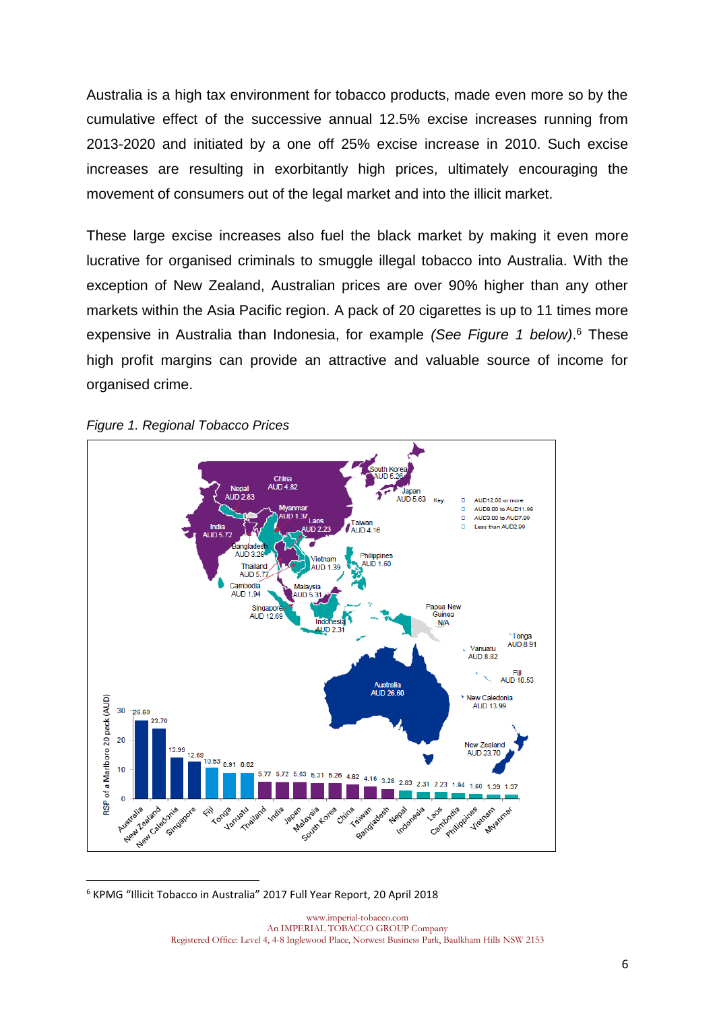Australia is a high tax environment for tobacco products, made even more so by the cumulative effect of the successive annual 12.5% excise increases running from 2013-2020 and initiated by a one off 25% excise increase in 2010. Such excise increases are resulting in exorbitantly high prices, ultimately encouraging the movement of consumers out of the legal market and into the illicit market.

These large excise increases also fuel the black market by making it even more lucrative for organised criminals to smuggle illegal tobacco into Australia. With the exception of New Zealand, Australian prices are over 90% higher than any other markets within the Asia Pacific region. A pack of 20 cigarettes is up to 11 times more expensive in Australia than Indonesia, for example *(See Figure 1 below)*. <sup>6</sup> These high profit margins can provide an attractive and valuable source of income for organised crime.





**.** <sup>6</sup> KPMG "Illicit Tobacco in Australia" 2017 Full Year Report, 20 April 2018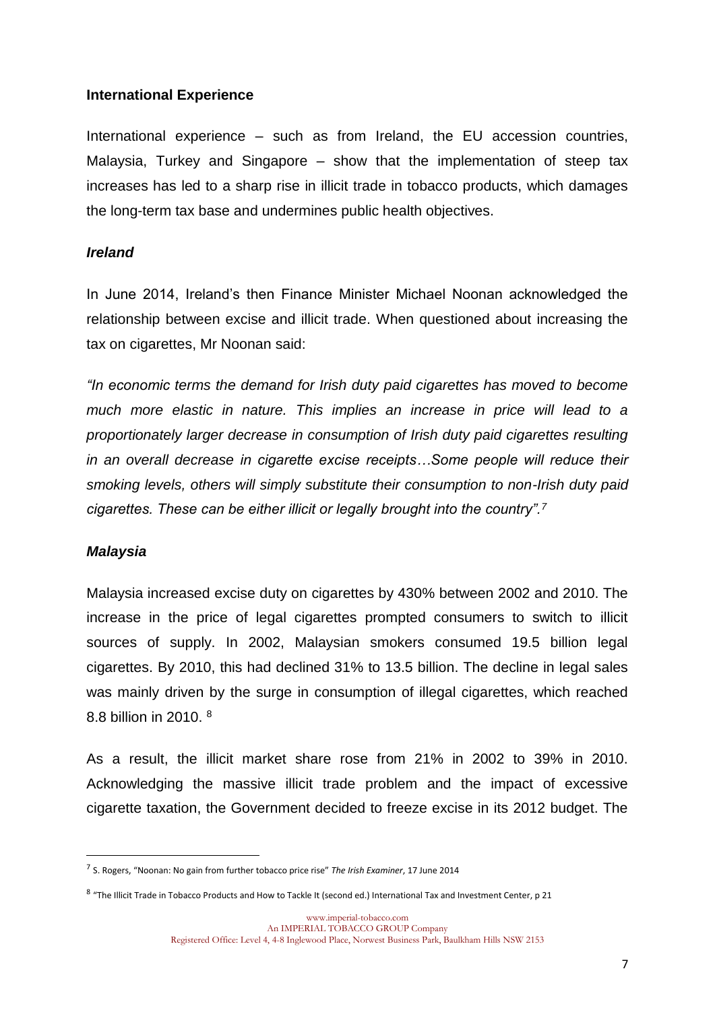#### **International Experience**

International experience – such as from Ireland, the EU accession countries, Malaysia, Turkey and Singapore – show that the implementation of steep tax increases has led to a sharp rise in illicit trade in tobacco products, which damages the long-term tax base and undermines public health objectives.

#### *Ireland*

In June 2014, Ireland's then Finance Minister Michael Noonan acknowledged the relationship between excise and illicit trade. When questioned about increasing the tax on cigarettes, Mr Noonan said:

*"In economic terms the demand for Irish duty paid cigarettes has moved to become much more elastic in nature. This implies an increase in price will lead to a proportionately larger decrease in consumption of Irish duty paid cigarettes resulting in an overall decrease in cigarette excise receipts…Some people will reduce their smoking levels, others will simply substitute their consumption to non-Irish duty paid cigarettes. These can be either illicit or legally brought into the country".<sup>7</sup>*

#### *Malaysia*

1

Malaysia increased excise duty on cigarettes by 430% between 2002 and 2010. The increase in the price of legal cigarettes prompted consumers to switch to illicit sources of supply. In 2002, Malaysian smokers consumed 19.5 billion legal cigarettes. By 2010, this had declined 31% to 13.5 billion. The decline in legal sales was mainly driven by the surge in consumption of illegal cigarettes, which reached 8.8 billion in 2010. <sup>8</sup>

As a result, the illicit market share rose from 21% in 2002 to 39% in 2010. Acknowledging the massive illicit trade problem and the impact of excessive cigarette taxation, the Government decided to freeze excise in its 2012 budget. The

<sup>7</sup> S. Rogers, "Noonan: No gain from further tobacco price rise" *The Irish Examiner*, 17 June 2014

<sup>8</sup> "The Illicit Trade in Tobacco Products and How to Tackle It (second ed.) International Tax and Investment Center, p 21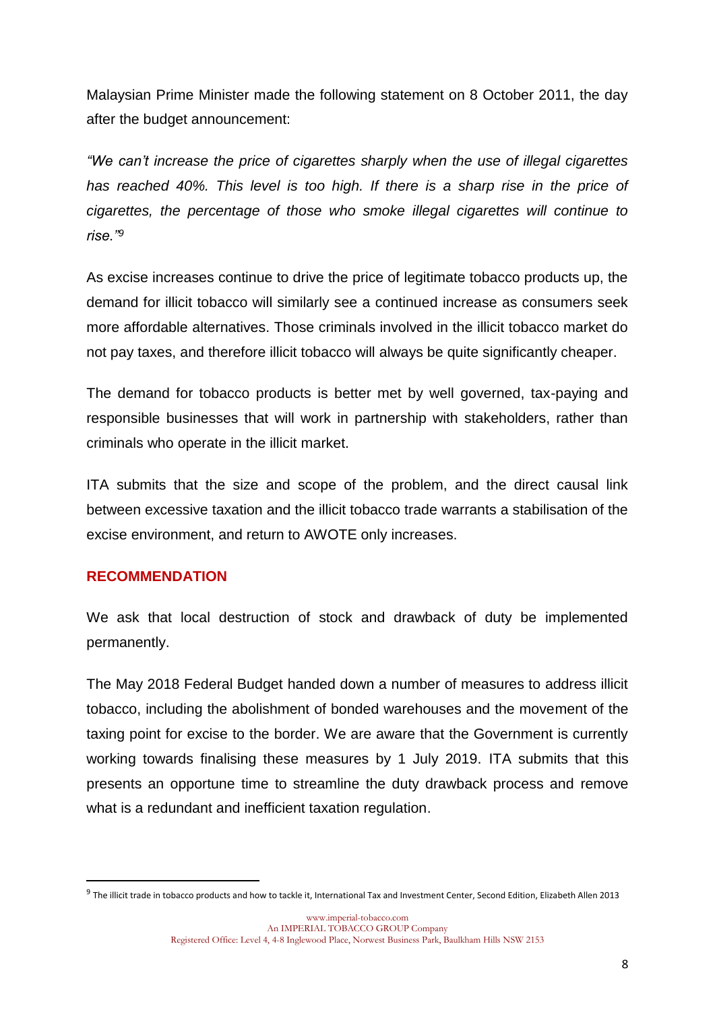Malaysian Prime Minister made the following statement on 8 October 2011, the day after the budget announcement:

*"We can't increase the price of cigarettes sharply when the use of illegal cigarettes has reached 40%. This level is too high. If there is a sharp rise in the price of cigarettes, the percentage of those who smoke illegal cigarettes will continue to rise."<sup>9</sup>*

As excise increases continue to drive the price of legitimate tobacco products up, the demand for illicit tobacco will similarly see a continued increase as consumers seek more affordable alternatives. Those criminals involved in the illicit tobacco market do not pay taxes, and therefore illicit tobacco will always be quite significantly cheaper.

The demand for tobacco products is better met by well governed, tax-paying and responsible businesses that will work in partnership with stakeholders, rather than criminals who operate in the illicit market.

ITA submits that the size and scope of the problem, and the direct causal link between excessive taxation and the illicit tobacco trade warrants a stabilisation of the excise environment, and return to AWOTE only increases.

## **RECOMMENDATION**

1

We ask that local destruction of stock and drawback of duty be implemented permanently.

The May 2018 Federal Budget handed down a number of measures to address illicit tobacco, including the abolishment of bonded warehouses and the movement of the taxing point for excise to the border. We are aware that the Government is currently working towards finalising these measures by 1 July 2019. ITA submits that this presents an opportune time to streamline the duty drawback process and remove what is a redundant and inefficient taxation regulation.

<sup>&</sup>lt;sup>9</sup> The illicit trade in tobacco products and how to tackle it, International Tax and Investment Center, Second Edition, Elizabeth Allen 2013